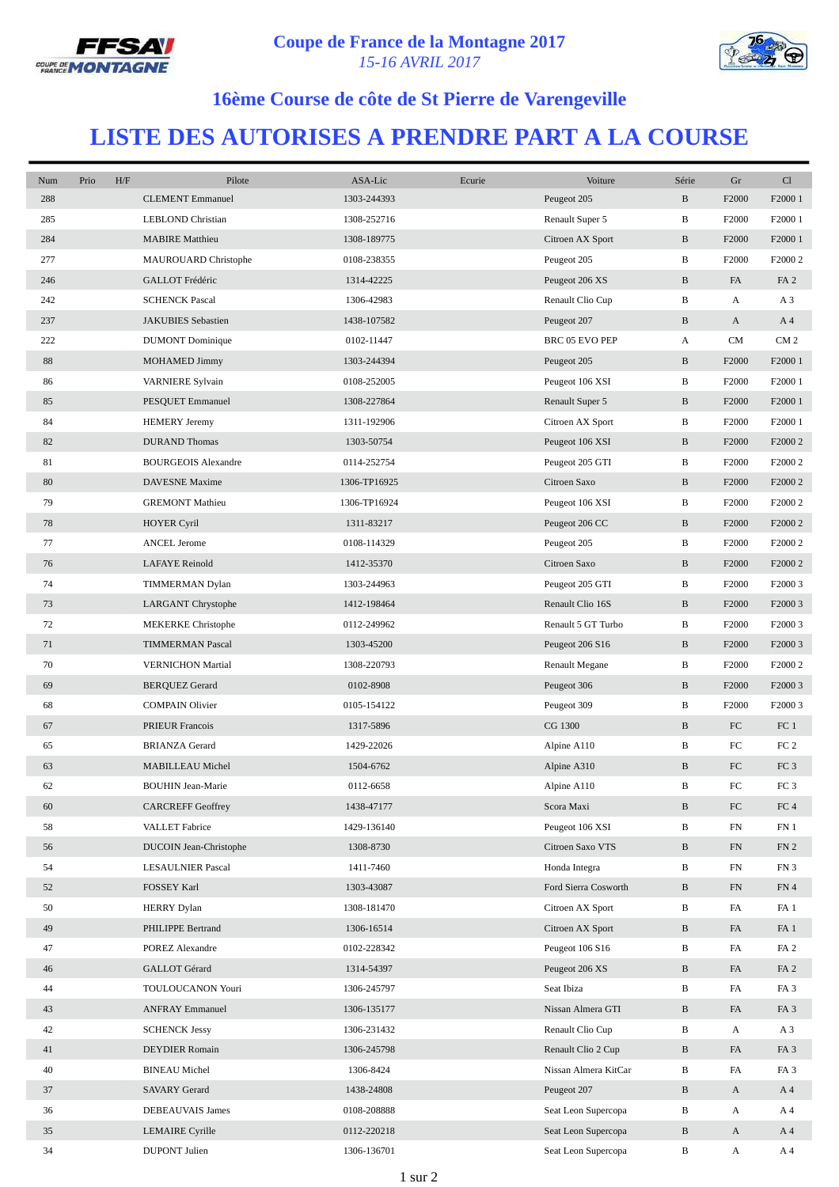



## **16ème Course de côte de St Pierre de Varengeville**

## **LISTE DES AUTORISES A PRENDRE PART A LA COURSE**

| Num | Prio | H/F | Pilote                     | ASA-Lic      | Ecurie | Voiture               | Série        | Gr                | Cl                  |
|-----|------|-----|----------------------------|--------------|--------|-----------------------|--------------|-------------------|---------------------|
| 288 |      |     | <b>CLEMENT</b> Emmanuel    | 1303-244393  |        | Peugeot 205           | $\, {\bf B}$ | F2000             | F2000 1             |
| 285 |      |     | <b>LEBLOND Christian</b>   | 1308-252716  |        | Renault Super 5       | B            | F <sub>2000</sub> | F <sub>2000</sub> 1 |
| 284 |      |     | <b>MABIRE</b> Matthieu     | 1308-189775  |        | Citroen AX Sport      | $\, {\bf B}$ | F2000             | F2000 1             |
| 277 |      |     | MAUROUARD Christophe       | 0108-238355  |        | Peugeot 205           | B            | F2000             | F2000 2             |
| 246 |      |     | GALLOT Frédéric            | 1314-42225   |        | Peugeot 206 XS        | $\, {\bf B}$ | FA                | FA <sub>2</sub>     |
| 242 |      |     | <b>SCHENCK Pascal</b>      | 1306-42983   |        | Renault Clio Cup      | B            | A                 | A <sub>3</sub>      |
| 237 |      |     | <b>JAKUBIES</b> Sebastien  | 1438-107582  |        | Peugeot 207           | $\, {\bf B}$ | A                 | A <sub>4</sub>      |
| 222 |      |     | <b>DUMONT</b> Dominique    | 0102-11447   |        | BRC 05 EVO PEP        | A            | <b>CM</b>         | CM <sub>2</sub>     |
| 88  |      |     | <b>MOHAMED Jimmy</b>       | 1303-244394  |        | Peugeot 205           | B            | F <sub>2000</sub> | F2000 1             |
| 86  |      |     | VARNIERE Sylvain           | 0108-252005  |        | Peugeot 106 XSI       | B            | F2000             | F2000 1             |
| 85  |      |     | PESQUET Emmanuel           | 1308-227864  |        | Renault Super 5       | $\, {\bf B}$ | F2000             | F2000 1             |
| 84  |      |     | <b>HEMERY</b> Jeremy       | 1311-192906  |        | Citroen AX Sport      | B            | F <sub>2000</sub> | F <sub>2000</sub> 1 |
| 82  |      |     | <b>DURAND Thomas</b>       | 1303-50754   |        | Peugeot 106 XSI       | $\, {\bf B}$ | F2000             | F2000 2             |
| 81  |      |     | <b>BOURGEOIS Alexandre</b> | 0114-252754  |        | Peugeot 205 GTI       | B            | F2000             | F2000 2             |
| 80  |      |     | DAVESNE Maxime             | 1306-TP16925 |        | Citroen Saxo          | $\, {\bf B}$ | F2000             | F2000 2             |
| 79  |      |     | <b>GREMONT Mathieu</b>     | 1306-TP16924 |        | Peugeot 106 XSI       | В            | F2000             | F2000 2             |
| 78  |      |     | <b>HOYER Cyril</b>         | 1311-83217   |        | Peugeot 206 CC        | $\, {\bf B}$ | F2000             | F2000 2             |
| 77  |      |     | <b>ANCEL Jerome</b>        | 0108-114329  |        | Peugeot 205           | B            | F2000             | F2000 2             |
| 76  |      |     | <b>LAFAYE</b> Reinold      | 1412-35370   |        | Citroen Saxo          | $\, {\bf B}$ | F2000             | F2000 2             |
| 74  |      |     | TIMMERMAN Dylan            | 1303-244963  |        | Peugeot 205 GTI       | B            | F2000             | F2000 3             |
| 73  |      |     | LARGANT Chrystophe         | 1412-198464  |        | Renault Clio 16S      | $\, {\bf B}$ | F2000             | F2000 3             |
| 72  |      |     | <b>MEKERKE</b> Christophe  | 0112-249962  |        | Renault 5 GT Turbo    | B            | F <sub>2000</sub> | F2000 3             |
| 71  |      |     | <b>TIMMERMAN Pascal</b>    | 1303-45200   |        | Peugeot 206 S16       | $\, {\bf B}$ | F2000             | F <sub>2000</sub> 3 |
| 70  |      |     | <b>VERNICHON Martial</b>   | 1308-220793  |        | <b>Renault Megane</b> | B            | F <sub>2000</sub> | F2000 2             |
| 69  |      |     | <b>BERQUEZ Gerard</b>      | 0102-8908    |        | Peugeot 306           | $\, {\bf B}$ | F2000             | F2000 3             |
| 68  |      |     | <b>COMPAIN Olivier</b>     | 0105-154122  |        | Peugeot 309           | B            | F2000             | F2000 3             |
| 67  |      |     | PRIEUR Francois            | 1317-5896    |        | CG 1300               | $\, {\bf B}$ | FC                | FC <sub>1</sub>     |
| 65  |      |     | <b>BRIANZA Gerard</b>      | 1429-22026   |        | Alpine A110           | B            | FC                | FC <sub>2</sub>     |
| 63  |      |     | MABILLEAU Michel           | 1504-6762    |        | Alpine A310           | $\, {\bf B}$ | ${\rm FC}$        | FC <sub>3</sub>     |
| 62  |      |     | <b>BOUHIN Jean-Marie</b>   | 0112-6658    |        | Alpine A110           | B            | FC                | FC <sub>3</sub>     |
| 60  |      |     | <b>CARCREFF Geoffrey</b>   | 1438-47177   |        | Scora Maxi            | $\, {\bf B}$ | ${\rm FC}$        | ${\rm FC}$ 4        |
| 58  |      |     | VALLET Fabrice             | 1429-136140  |        | Peugeot 106 XSI       | B            | FN                | FN <sub>1</sub>     |
| 56  |      |     | DUCOIN Jean-Christophe     | 1308-8730    |        | Citroen Saxo VTS      | $\, {\bf B}$ | FN                | FN <sub>2</sub>     |
| 54  |      |     | <b>LESAULNIER Pascal</b>   | 1411-7460    |        | Honda Integra         | В            | FN                | FN3                 |
| 52  |      |     | FOSSEY Karl                | 1303-43087   |        | Ford Sierra Cosworth  | $\, {\bf B}$ | FN                | FN 4                |
| 50  |      |     | <b>HERRY</b> Dylan         | 1308-181470  |        | Citroen AX Sport      | B            | FA                | FA <sub>1</sub>     |
| 49  |      |     | PHILIPPE Bertrand          | 1306-16514   |        | Citroen AX Sport      | $\, {\bf B}$ | FA                | FA <sub>1</sub>     |
| 47  |      |     | POREZ Alexandre            | 0102-228342  |        | Peugeot 106 S16       | B            | FA                | FA <sub>2</sub>     |
| 46  |      |     | GALLOT Gérard              | 1314-54397   |        | Peugeot 206 XS        | B            | FA                | FA <sub>2</sub>     |
| 44  |      |     | TOULOUCANON Youri          | 1306-245797  |        | Seat Ibiza            | B            | FA                | FA <sub>3</sub>     |
| 43  |      |     | <b>ANFRAY Emmanuel</b>     | 1306-135177  |        | Nissan Almera GTI     | $\, {\bf B}$ | FA                | FA <sub>3</sub>     |
| 42  |      |     | <b>SCHENCK Jessy</b>       | 1306-231432  |        | Renault Clio Cup      | B            | A                 | A <sub>3</sub>      |
| 41  |      |     | DEYDIER Romain             | 1306-245798  |        | Renault Clio 2 Cup    | B            | FA                | FA <sub>3</sub>     |
| 40  |      |     | <b>BINEAU</b> Michel       | 1306-8424    |        | Nissan Almera KitCar  | $\, {\bf B}$ | FA                | FA <sub>3</sub>     |
| 37  |      |     | <b>SAVARY Gerard</b>       | 1438-24808   |        | Peugeot 207           | $\, {\bf B}$ | $\mathbf{A}$      | A <sub>4</sub>      |
| 36  |      |     | DEBEAUVAIS James           | 0108-208888  |        | Seat Leon Supercopa   | В            | A                 | A 4                 |
| 35  |      |     | LEMAIRE Cyrille            | 0112-220218  |        | Seat Leon Supercopa   | $\, {\bf B}$ | $\mathbf{A}$      | A <sub>4</sub>      |
| 34  |      |     | <b>DUPONT</b> Julien       | 1306-136701  |        | Seat Leon Supercopa   | B            | A                 | A 4                 |